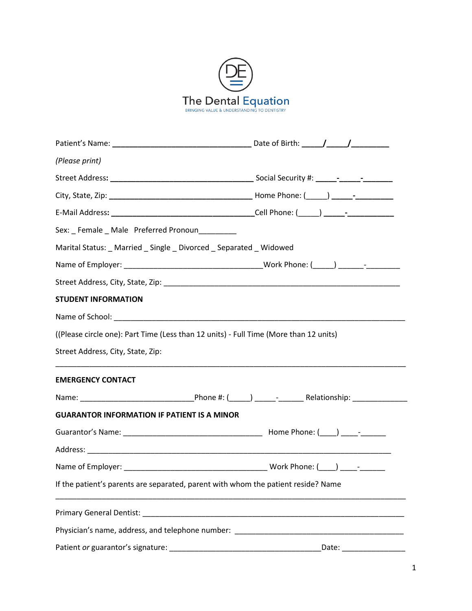

| (Please print)                                                                                                 |  |
|----------------------------------------------------------------------------------------------------------------|--|
|                                                                                                                |  |
|                                                                                                                |  |
|                                                                                                                |  |
|                                                                                                                |  |
| Marital Status: _ Married _ Single _ Divorced _ Separated _ Widowed                                            |  |
|                                                                                                                |  |
|                                                                                                                |  |
| <b>STUDENT INFORMATION</b>                                                                                     |  |
|                                                                                                                |  |
| ((Please circle one): Part Time (Less than 12 units) - Full Time (More than 12 units)                          |  |
| Street Address, City, State, Zip:                                                                              |  |
| <b>EMERGENCY CONTACT</b>                                                                                       |  |
|                                                                                                                |  |
| <b>GUARANTOR INFORMATION IF PATIENT IS A MINOR</b>                                                             |  |
|                                                                                                                |  |
|                                                                                                                |  |
|                                                                                                                |  |
| If the patient's parents are separated, parent with whom the patient reside? Name                              |  |
|                                                                                                                |  |
| Physician's name, address, and telephone number: Later and the control of the control of the control of the co |  |
|                                                                                                                |  |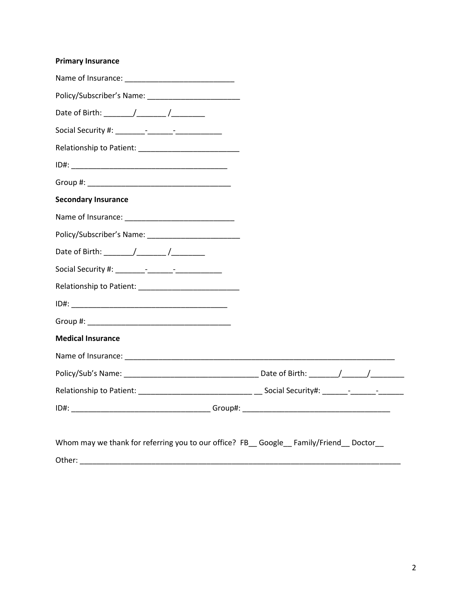## **Primary Insurance**

| <b>Secondary Insurance</b>                                                            |  |
|---------------------------------------------------------------------------------------|--|
|                                                                                       |  |
|                                                                                       |  |
|                                                                                       |  |
|                                                                                       |  |
|                                                                                       |  |
|                                                                                       |  |
|                                                                                       |  |
| <b>Medical Insurance</b>                                                              |  |
|                                                                                       |  |
|                                                                                       |  |
|                                                                                       |  |
|                                                                                       |  |
|                                                                                       |  |
| Whom may we thank for referring you to our office? FB_ Google_ Family/Friend_ Doctor_ |  |
| Other:                                                                                |  |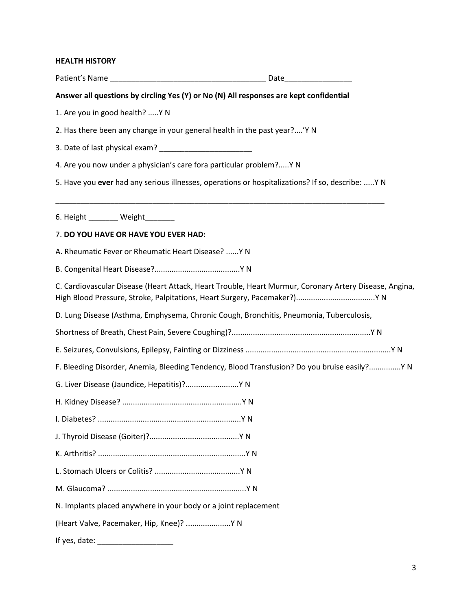## **HEALTH HISTORY**

| Answer all questions by circling Yes (Y) or No (N) All responses are kept confidential                 |  |
|--------------------------------------------------------------------------------------------------------|--|
| 1. Are you in good health?  Y N                                                                        |  |
| 2. Has there been any change in your general health in the past year?'Y N                              |  |
|                                                                                                        |  |
| 4. Are you now under a physician's care fora particular problem? Y N                                   |  |
| 5. Have you ever had any serious illnesses, operations or hospitalizations? If so, describe:  Y N      |  |
| 6. Height ________ Weight _______                                                                      |  |
| 7. DO YOU HAVE OR HAVE YOU EVER HAD:                                                                   |  |
| A. Rheumatic Fever or Rheumatic Heart Disease?  Y N                                                    |  |
|                                                                                                        |  |
| C. Cardiovascular Disease (Heart Attack, Heart Trouble, Heart Murmur, Coronary Artery Disease, Angina, |  |
| D. Lung Disease (Asthma, Emphysema, Chronic Cough, Bronchitis, Pneumonia, Tuberculosis,                |  |
|                                                                                                        |  |
|                                                                                                        |  |
| F. Bleeding Disorder, Anemia, Bleeding Tendency, Blood Transfusion? Do you bruise easily? Y N          |  |
| G. Liver Disease (Jaundice, Hepatitis)? Y N                                                            |  |
|                                                                                                        |  |
|                                                                                                        |  |
|                                                                                                        |  |
|                                                                                                        |  |
|                                                                                                        |  |
|                                                                                                        |  |
| N. Implants placed anywhere in your body or a joint replacement                                        |  |
| (Heart Valve, Pacemaker, Hip, Knee)?  Y N                                                              |  |
| If yes, date:                                                                                          |  |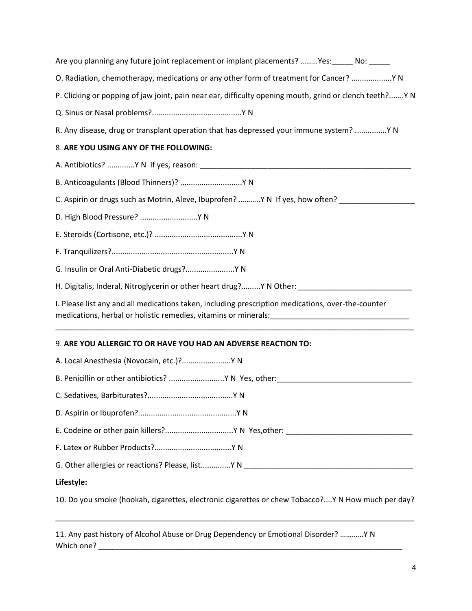| Are you planning any future joint replacement or implant placements? Yes: No: No:                                                                                                                                    |
|----------------------------------------------------------------------------------------------------------------------------------------------------------------------------------------------------------------------|
| O. Radiation, chemotherapy, medications or any other form of treatment for Cancer?  Y N                                                                                                                              |
| P. Clicking or popping of jaw joint, pain near ear, difficulty opening mouth, grind or clench teeth?Y N                                                                                                              |
|                                                                                                                                                                                                                      |
| R. Any disease, drug or transplant operation that has depressed your immune system? Y N                                                                                                                              |
| 8. ARE YOU USING ANY OF THE FOLLOWING:                                                                                                                                                                               |
|                                                                                                                                                                                                                      |
| B. Anticoagulants (Blood Thinners)?  Y N                                                                                                                                                                             |
| C. Aspirin or drugs such as Motrin, Aleve, Ibuprofen? Y N If yes, how often? ____________                                                                                                                            |
| D. High Blood Pressure?  Y N                                                                                                                                                                                         |
|                                                                                                                                                                                                                      |
|                                                                                                                                                                                                                      |
| G. Insulin or Oral Anti-Diabetic drugs? Y N                                                                                                                                                                          |
| H. Digitalis, Inderal, Nitroglycerin or other heart drug? Y N Other: ________________________________                                                                                                                |
| I. Please list any and all medications taken, including prescription medications, over-the-counter<br>medications, herbal or holistic remedies, vitamins or minerals: [1983] [1983] [1983] [1983] [1983] [1983] [198 |
| 9. ARE YOU ALLERGIC TO OR HAVE YOU HAD AN ADVERSE REACTION TO:                                                                                                                                                       |
| A. Local Anesthesia (Novocain, etc.)? Y N                                                                                                                                                                            |
|                                                                                                                                                                                                                      |
|                                                                                                                                                                                                                      |
|                                                                                                                                                                                                                      |
|                                                                                                                                                                                                                      |
|                                                                                                                                                                                                                      |
|                                                                                                                                                                                                                      |
| Lifestyle:                                                                                                                                                                                                           |
| 10. Do you smoke (hookah, cigarettes, electronic cigarettes or chew Tobacco?Y N How much per day?                                                                                                                    |

11. Any past history of Alcohol Abuse or Drug Dependency or Emotional Disorder? …………Y N Which one? \_\_\_\_\_\_\_\_\_\_\_\_\_\_\_\_\_\_\_\_\_\_\_\_\_\_\_\_\_\_\_\_\_\_\_\_\_\_\_\_\_\_\_\_\_\_\_\_\_\_\_\_\_\_\_\_\_\_\_\_\_\_\_\_\_\_\_\_\_\_\_\_

\_\_\_\_\_\_\_\_\_\_\_\_\_\_\_\_\_\_\_\_\_\_\_\_\_\_\_\_\_\_\_\_\_\_\_\_\_\_\_\_\_\_\_\_\_\_\_\_\_\_\_\_\_\_\_\_\_\_\_\_\_\_\_\_\_\_\_\_\_\_\_\_\_\_\_\_\_\_\_\_\_\_\_\_\_